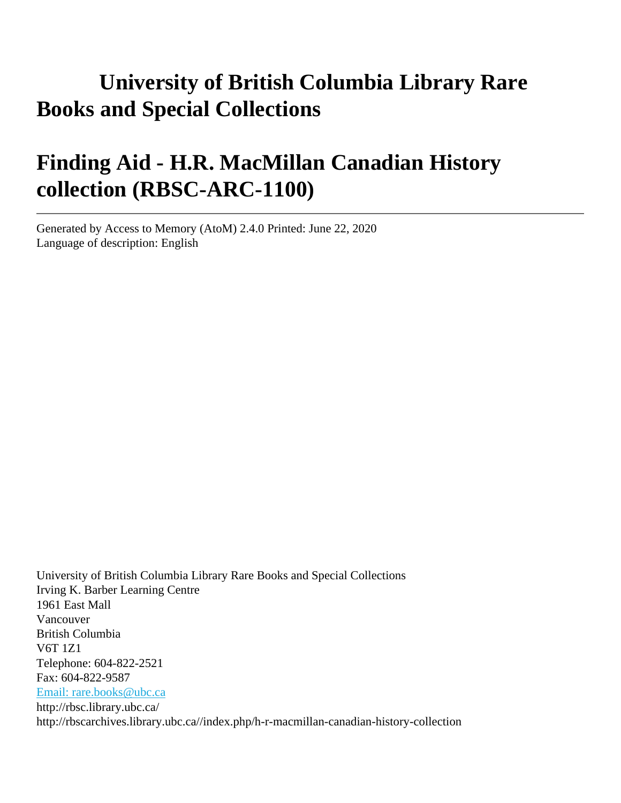# **University of British Columbia Library Rare Books and Special Collections**

# **Finding Aid - H.R. MacMillan Canadian History collection (RBSC-ARC-1100)**

Generated by Access to Memory (AtoM) 2.4.0 Printed: June 22, 2020 Language of description: English

University of British Columbia Library Rare Books and Special Collections Irving K. Barber Learning Centre 1961 East Mall Vancouver British Columbia V6T 1Z1 Telephone: 604-822-2521 Fax: 604-822-9587 [Email: rare.books@ubc.ca](mailto:Email: rare.books@ubc.ca) http://rbsc.library.ubc.ca/ http://rbscarchives.library.ubc.ca//index.php/h-r-macmillan-canadian-history-collection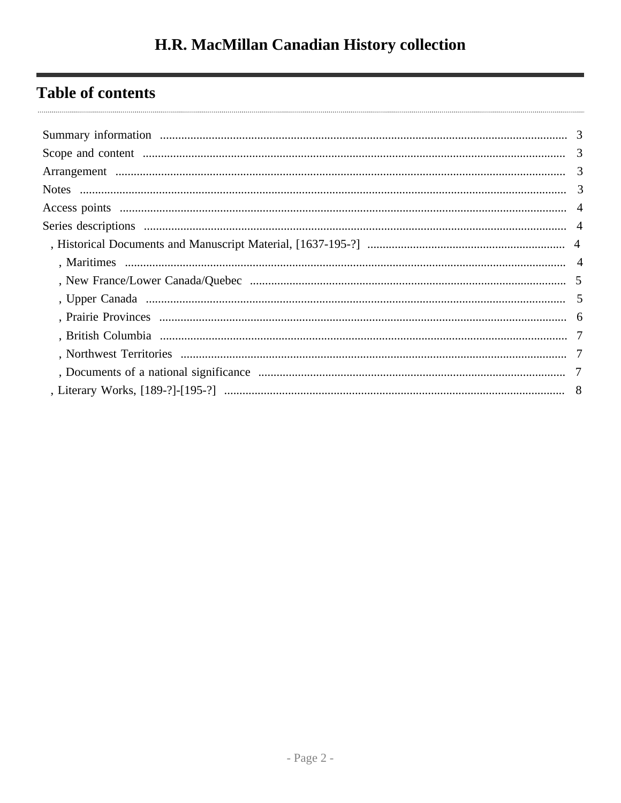## **Table of contents**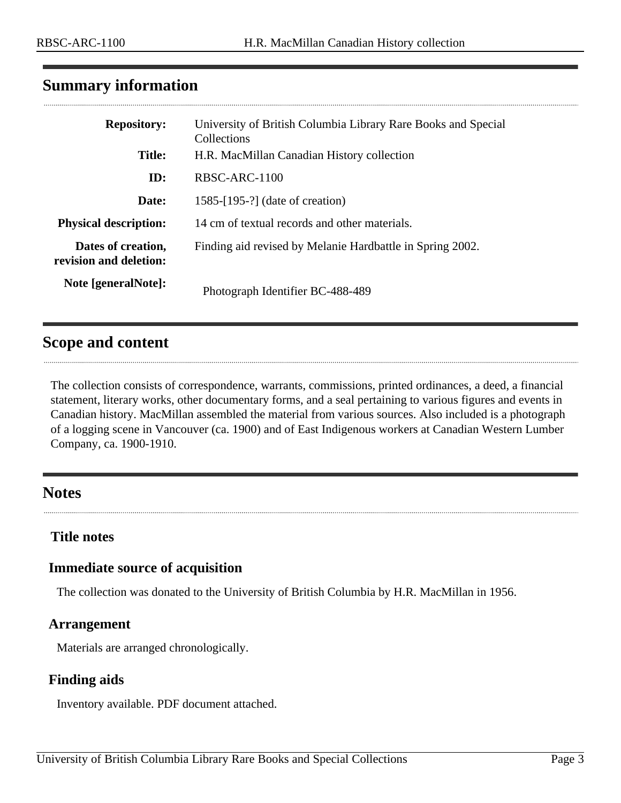### <span id="page-2-0"></span>**Summary information**

| <b>Repository:</b>                           | University of British Columbia Library Rare Books and Special<br>Collections |
|----------------------------------------------|------------------------------------------------------------------------------|
| <b>Title:</b>                                | H.R. MacMillan Canadian History collection                                   |
| ID:                                          | RBSC-ARC-1100                                                                |
| Date:                                        | 1585-[195-?] (date of creation)                                              |
| <b>Physical description:</b>                 | 14 cm of textual records and other materials.                                |
| Dates of creation,<br>revision and deletion: | Finding aid revised by Melanie Hardbattle in Spring 2002.                    |
| Note [generalNote]:                          | Photograph Identifier BC-488-489                                             |

### <span id="page-2-1"></span>**Scope and content**

The collection consists of correspondence, warrants, commissions, printed ordinances, a deed, a financial statement, literary works, other documentary forms, and a seal pertaining to various figures and events in Canadian history. MacMillan assembled the material from various sources. Also included is a photograph of a logging scene in Vancouver (ca. 1900) and of East Indigenous workers at Canadian Western Lumber Company, ca. 1900-1910.

### <span id="page-2-3"></span>**Notes**

### **Title notes**

### **Immediate source of acquisition**

The collection was donated to the University of British Columbia by H.R. MacMillan in 1956.

#### <span id="page-2-2"></span>**Arrangement**

Materials are arranged chronologically.

### **Finding aids**

Inventory available. PDF document attached.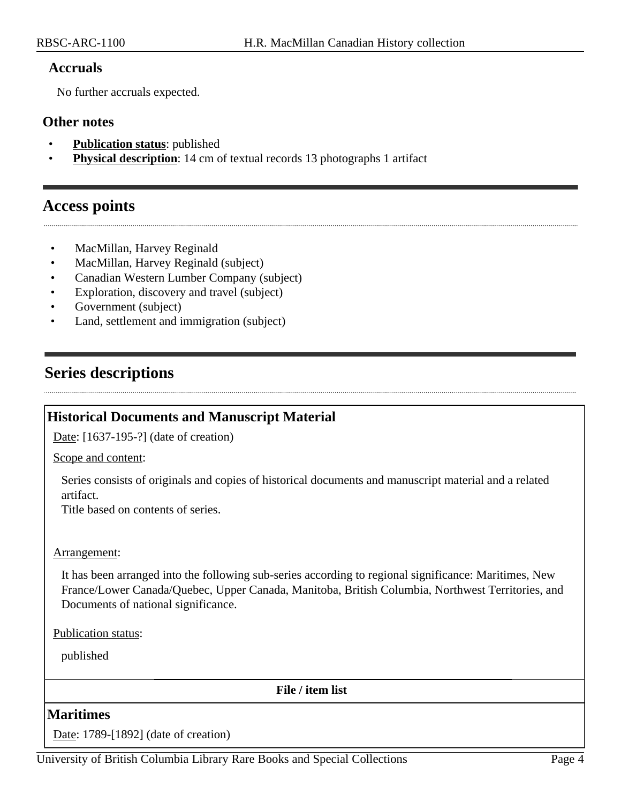#### **Accruals**

No further accruals expected.

#### **Other notes**

- **Publication status:** published
- **Physical description**: 14 cm of textual records 13 photographs 1 artifact

### <span id="page-3-0"></span>**Access points**

- MacMillan, Harvey Reginald
- MacMillan, Harvey Reginald (subject)
- Canadian Western Lumber Company (subject)
- Exploration, discovery and travel (subject)
- Government (subject)
- Land, settlement and immigration (subject)

### <span id="page-3-1"></span>**Series descriptions**

### <span id="page-3-2"></span>**Historical Documents and Manuscript Material**

Date: [1637-195-?] (date of creation)

Scope and content:

Series consists of originals and copies of historical documents and manuscript material and a related artifact.

Title based on contents of series.

#### Arrangement:

It has been arranged into the following sub-series according to regional significance: Maritimes, New France/Lower Canada/Quebec, Upper Canada, Manitoba, British Columbia, Northwest Territories, and Documents of national significance.

Publication status:

published

**File / item list**

#### <span id="page-3-3"></span>**Maritimes**

Date: 1789-[1892] (date of creation)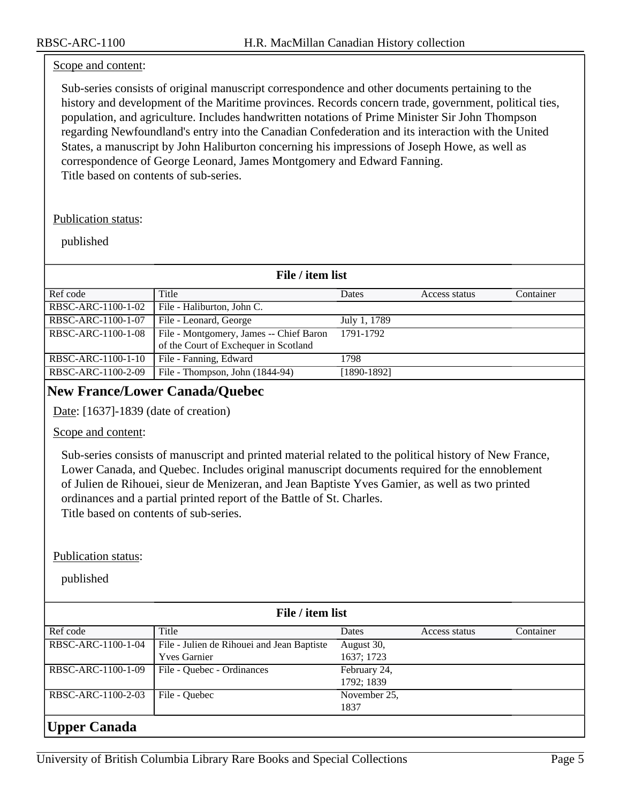#### Scope and content:

Sub-series consists of original manuscript correspondence and other documents pertaining to the history and development of the Maritime provinces. Records concern trade, government, political ties, population, and agriculture. Includes handwritten notations of Prime Minister Sir John Thompson regarding Newfoundland's entry into the Canadian Confederation and its interaction with the United States, a manuscript by John Haliburton concerning his impressions of Joseph Howe, as well as correspondence of George Leonard, James Montgomery and Edward Fanning. Title based on contents of sub-series.

#### Publication status:

#### published

| File / item list   |                                                                                  |              |               |           |
|--------------------|----------------------------------------------------------------------------------|--------------|---------------|-----------|
| Ref code           | Title                                                                            | Dates        | Access status | Container |
| RBSC-ARC-1100-1-02 | File - Haliburton, John C.                                                       |              |               |           |
| RBSC-ARC-1100-1-07 | File - Leonard, George                                                           | July 1, 1789 |               |           |
| RBSC-ARC-1100-1-08 | File - Montgomery, James -- Chief Baron<br>of the Court of Exchequer in Scotland | 1791-1792    |               |           |
| RBSC-ARC-1100-1-10 | File - Fanning, Edward                                                           | 1798         |               |           |
| RBSC-ARC-1100-2-09 | File - Thompson, John (1844-94)                                                  | [1890-1892]  |               |           |

#### <span id="page-4-0"></span>**New France/Lower Canada/Quebec**

Date: [1637]-1839 (date of creation)

#### Scope and content:

Sub-series consists of manuscript and printed material related to the political history of New France, Lower Canada, and Quebec. Includes original manuscript documents required for the ennoblement of Julien de Rihouei, sieur de Menizeran, and Jean Baptiste Yves Gamier, as well as two printed ordinances and a partial printed report of the Battle of St. Charles. Title based on contents of sub-series.

#### Publication status:

<span id="page-4-1"></span>

| File / item list    |                                            |              |               |           |  |
|---------------------|--------------------------------------------|--------------|---------------|-----------|--|
| Ref code            | Title                                      | Dates        | Access status | Container |  |
| RBSC-ARC-1100-1-04  | File - Julien de Rihouei and Jean Baptiste | August 30,   |               |           |  |
|                     | <b>Yves Garnier</b>                        | 1637; 1723   |               |           |  |
| RBSC-ARC-1100-1-09  | File - Quebec - Ordinances                 | February 24, |               |           |  |
|                     |                                            | 1792; 1839   |               |           |  |
| RBSC-ARC-1100-2-03  | File - Quebec                              | November 25, |               |           |  |
|                     |                                            | 1837         |               |           |  |
| <b>Upper Canada</b> |                                            |              |               |           |  |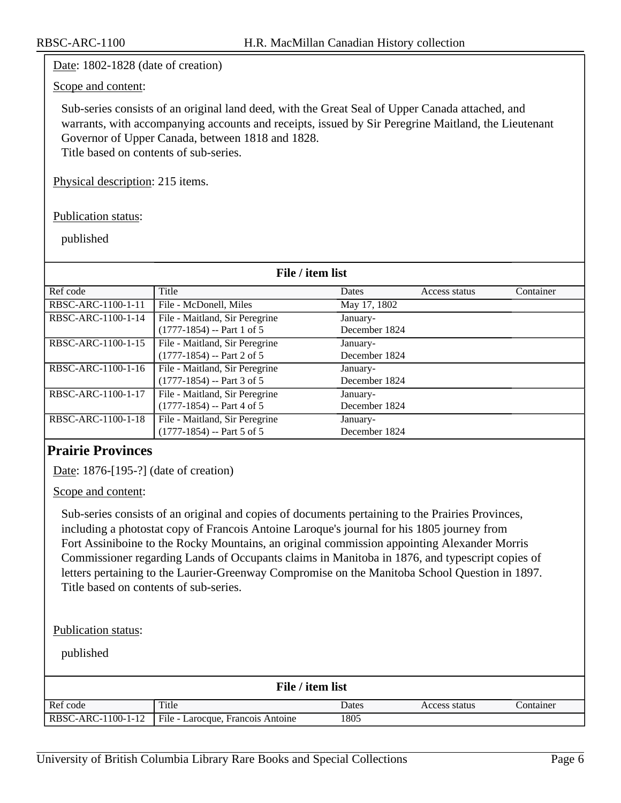Date: 1802-1828 (date of creation)

#### Scope and content:

Sub-series consists of an original land deed, with the Great Seal of Upper Canada attached, and warrants, with accompanying accounts and receipts, issued by Sir Peregrine Maitland, the Lieutenant Governor of Upper Canada, between 1818 and 1828. Title based on contents of sub-series.

Physical description: 215 items.

Publication status:

published

| File / item list   |                                |               |               |           |
|--------------------|--------------------------------|---------------|---------------|-----------|
| Ref code           | Title                          | Dates         | Access status | Container |
| RBSC-ARC-1100-1-11 | File - McDonell, Miles         | May 17, 1802  |               |           |
| RBSC-ARC-1100-1-14 | File - Maitland, Sir Peregrine | January-      |               |           |
|                    | $(1777-1854) - Part 1 of 5$    | December 1824 |               |           |
| RBSC-ARC-1100-1-15 | File - Maitland, Sir Peregrine | January-      |               |           |
|                    | $(1777-1854) - Part 2 of 5$    | December 1824 |               |           |
| RBSC-ARC-1100-1-16 | File - Maitland, Sir Peregrine | January-      |               |           |
|                    | $(1777-1854) - Part 3 of 5$    | December 1824 |               |           |
| RBSC-ARC-1100-1-17 | File - Maitland, Sir Peregrine | January-      |               |           |
|                    | $(1777-1854) - Part 4 of 5$    | December 1824 |               |           |
| RBSC-ARC-1100-1-18 | File - Maitland, Sir Peregrine | January-      |               |           |
|                    | $(1777-1854) - Part 5 of 5$    | December 1824 |               |           |

### <span id="page-5-0"></span>**Prairie Provinces**

Date: 1876-[195-?] (date of creation)

Scope and content:

Sub-series consists of an original and copies of documents pertaining to the Prairies Provinces, including a photostat copy of Francois Antoine Laroque's journal for his 1805 journey from Fort Assiniboine to the Rocky Mountains, an original commission appointing Alexander Morris Commissioner regarding Lands of Occupants claims in Manitoba in 1876, and typescript copies of letters pertaining to the Laurier-Greenway Compromise on the Manitoba School Question in 1897. Title based on contents of sub-series.

Publication status:

| File / item list |                                                        |       |               |           |  |
|------------------|--------------------------------------------------------|-------|---------------|-----------|--|
| Ref code         | Title                                                  | Dates | Access status | Container |  |
|                  | RBSC-ARC-1100-1-12   File - Larocque, Francois Antoine | 1805  |               |           |  |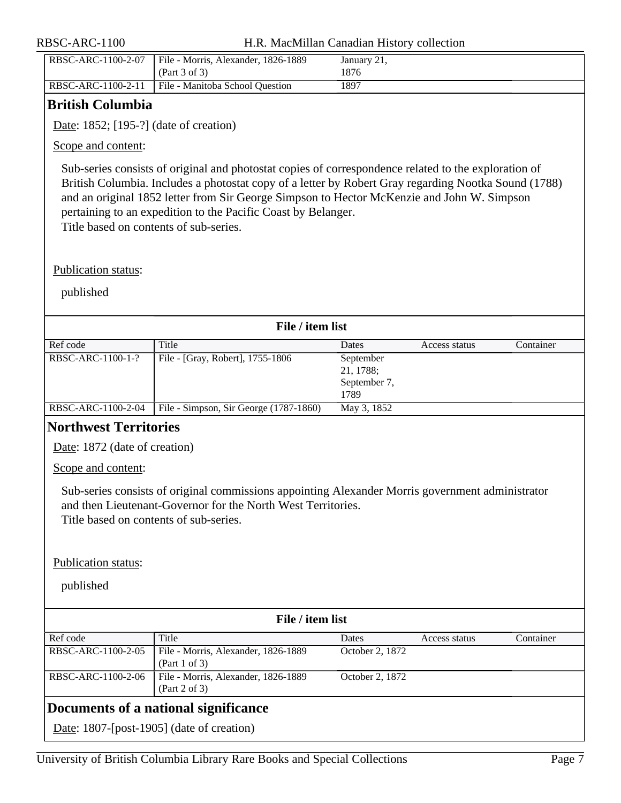| RBSC-ARC-1100-2-07 | File - Morris, Alexander, 1826-1889<br>(Part 3 of 3) | January 21,<br>876 |
|--------------------|------------------------------------------------------|--------------------|
| RBSC-ARC-1100-2-11 | File - Manitoba School Question                      | 1897               |

### <span id="page-6-0"></span>**British Columbia**

Date: 1852; [195-?] (date of creation)

Scope and content:

Sub-series consists of original and photostat copies of correspondence related to the exploration of British Columbia. Includes a photostat copy of a letter by Robert Gray regarding Nootka Sound (1788) and an original 1852 letter from Sir George Simpson to Hector McKenzie and John W. Simpson pertaining to an expedition to the Pacific Coast by Belanger. Title based on contents of sub-series.

Publication status:

<span id="page-6-2"></span><span id="page-6-1"></span>

|                                                                      | File / item list                                     |                      |               |           |
|----------------------------------------------------------------------|------------------------------------------------------|----------------------|---------------|-----------|
| Ref code                                                             | Title                                                | Dates                | Access status | Container |
| RBSC-ARC-1100-1-?                                                    | File - [Gray, Robert], 1755-1806                     | September            |               |           |
|                                                                      |                                                      | 21, 1788;            |               |           |
|                                                                      |                                                      | September 7,<br>1789 |               |           |
| RBSC-ARC-1100-2-04                                                   | File - Simpson, Sir George (1787-1860)               | May 3, 1852          |               |           |
| <b>Northwest Territories</b>                                         |                                                      |                      |               |           |
| Date: 1872 (date of creation)                                        |                                                      |                      |               |           |
| Scope and content:                                                   |                                                      |                      |               |           |
| Title based on contents of sub-series.<br><b>Publication status:</b> |                                                      |                      |               |           |
| published                                                            |                                                      |                      |               |           |
|                                                                      | File / item list                                     |                      |               |           |
| Ref code                                                             | Title                                                | Dates                | Access status | Container |
| RBSC-ARC-1100-2-05                                                   | File - Morris, Alexander, 1826-1889<br>(Part 1 of 3) | October 2, 1872      |               |           |
| RBSC-ARC-1100-2-06                                                   | File - Morris, Alexander, 1826-1889<br>(Part 2 of 3) | October 2, 1872      |               |           |
|                                                                      | Documents of a national significance                 |                      |               |           |
|                                                                      |                                                      |                      |               |           |
|                                                                      | Date: $1807$ -[post-1905] (date of creation)         |                      |               |           |